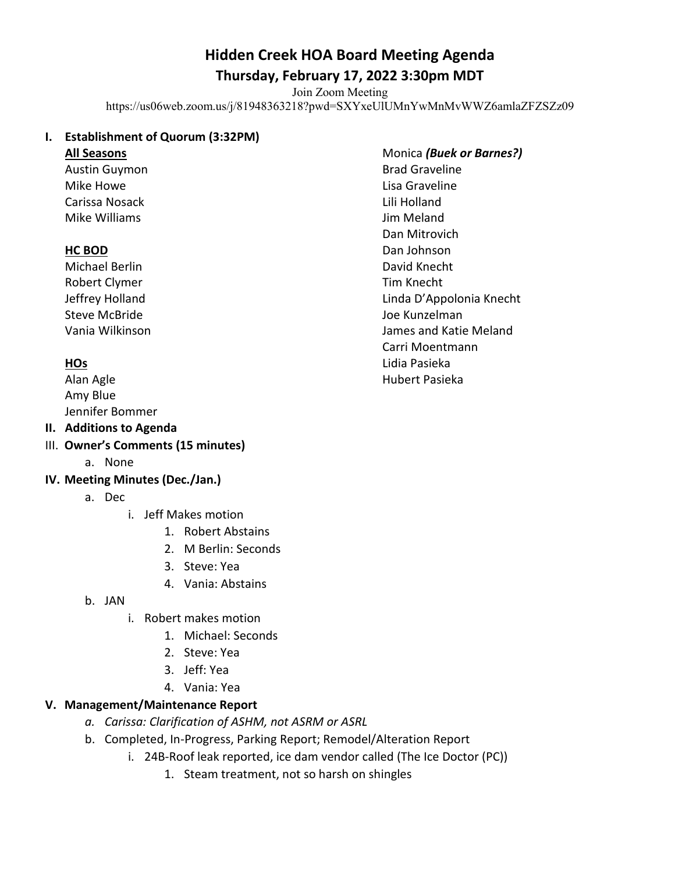# **Hidden Creek HOA Board Meeting Agenda**

## **Thursday, February 17, 2022 3:30pm MDT**

Join Zoom Meeting

https://us06web.zoom.us/j/81948363218?pwd=SXYxeUlUMnYwMnMvWWZ6amlaZFZSZz09

#### **I. Establishment of Quorum (3:32PM)**

#### **All Seasons**

Austin Guymon Mike Howe Carissa Nosack Mike Williams

### **HC BOD**

Michael Berlin Robert Clymer Jeffrey Holland Steve McBride Vania Wilkinson

## **HOs**

Alan Agle Amy Blue Jennifer Bommer

### **II. Additions to Agenda**

- III. **Owner's Comments (15 minutes)** 
	- a. None

#### **IV. Meeting Minutes (Dec./Jan.)**

- a. Dec
	- i. Jeff Makes motion
		- 1. Robert Abstains
		- 2. M Berlin: Seconds
		- 3. Steve: Yea
		- 4. Vania: Abstains
- b. JAN
	- i. Robert makes motion
		- 1. Michael: Seconds
		- 2. Steve: Yea
		- 3. Jeff: Yea
		- 4. Vania: Yea

#### **V. Management/Maintenance Report**

- *a. Carissa: Clarification of ASHM, not ASRM or ASRL*
- b. Completed, In-Progress, Parking Report; Remodel/Alteration Report
	- i. 24B-Roof leak reported, ice dam vendor called (The Ice Doctor (PC))
		- 1. Steam treatment, not so harsh on shingles

Monica *(Buek or Barnes?)* Brad Graveline Lisa Graveline Lili Holland Jim Meland Dan Mitrovich Dan Johnson David Knecht Tim Knecht Linda D'Appolonia Knecht Joe Kunzelman James and Katie Meland Carri Moentmann Lidia Pasieka Hubert Pasieka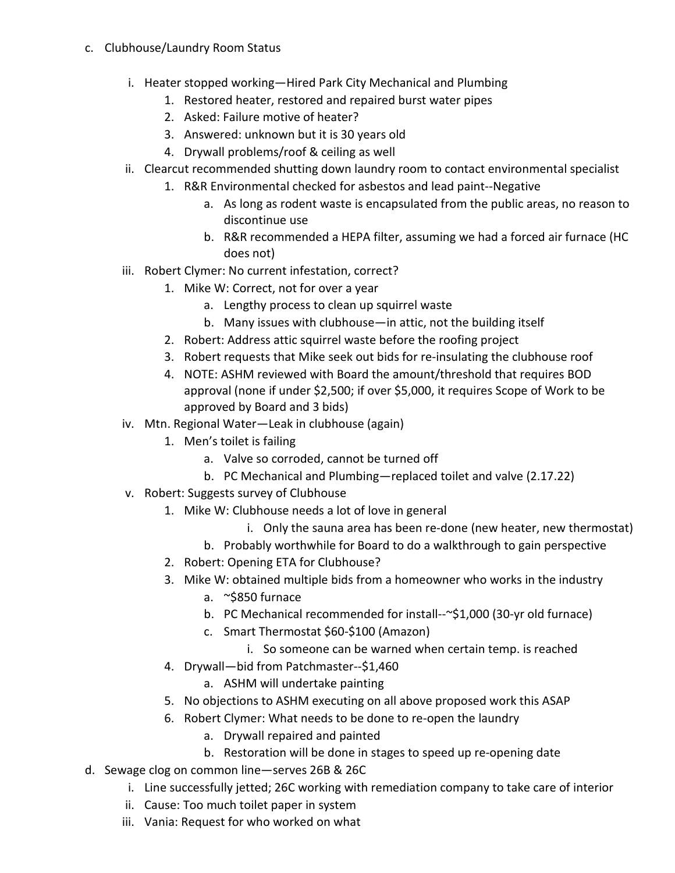- c. Clubhouse/Laundry Room Status
	- i. Heater stopped working—Hired Park City Mechanical and Plumbing
		- 1. Restored heater, restored and repaired burst water pipes
		- 2. Asked: Failure motive of heater?
		- 3. Answered: unknown but it is 30 years old
		- 4. Drywall problems/roof & ceiling as well
	- ii. Clearcut recommended shutting down laundry room to contact environmental specialist
		- 1. R&R Environmental checked for asbestos and lead paint--Negative
			- a. As long as rodent waste is encapsulated from the public areas, no reason to discontinue use
			- b. R&R recommended a HEPA filter, assuming we had a forced air furnace (HC does not)
	- iii. Robert Clymer: No current infestation, correct?
		- 1. Mike W: Correct, not for over a year
			- a. Lengthy process to clean up squirrel waste
			- b. Many issues with clubhouse—in attic, not the building itself
		- 2. Robert: Address attic squirrel waste before the roofing project
		- 3. Robert requests that Mike seek out bids for re-insulating the clubhouse roof
		- 4. NOTE: ASHM reviewed with Board the amount/threshold that requires BOD approval (none if under \$2,500; if over \$5,000, it requires Scope of Work to be approved by Board and 3 bids)
	- iv. Mtn. Regional Water—Leak in clubhouse (again)
		- 1. Men's toilet is failing
			- a. Valve so corroded, cannot be turned off
			- b. PC Mechanical and Plumbing—replaced toilet and valve (2.17.22)
	- v. Robert: Suggests survey of Clubhouse
		- 1. Mike W: Clubhouse needs a lot of love in general
			- i. Only the sauna area has been re-done (new heater, new thermostat)
			- b. Probably worthwhile for Board to do a walkthrough to gain perspective
		- 2. Robert: Opening ETA for Clubhouse?
		- 3. Mike W: obtained multiple bids from a homeowner who works in the industry
			- a. ~\$850 furnace
			- b. PC Mechanical recommended for install--~\$1,000 (30-yr old furnace)
			- c. Smart Thermostat \$60-\$100 (Amazon)
				- i. So someone can be warned when certain temp. is reached
		- 4. Drywall—bid from Patchmaster--\$1,460
			- a. ASHM will undertake painting
		- 5. No objections to ASHM executing on all above proposed work this ASAP
		- 6. Robert Clymer: What needs to be done to re-open the laundry
			- a. Drywall repaired and painted
			- b. Restoration will be done in stages to speed up re-opening date
- d. Sewage clog on common line—serves 26B & 26C
	- i. Line successfully jetted; 26C working with remediation company to take care of interior
	- ii. Cause: Too much toilet paper in system
	- iii. Vania: Request for who worked on what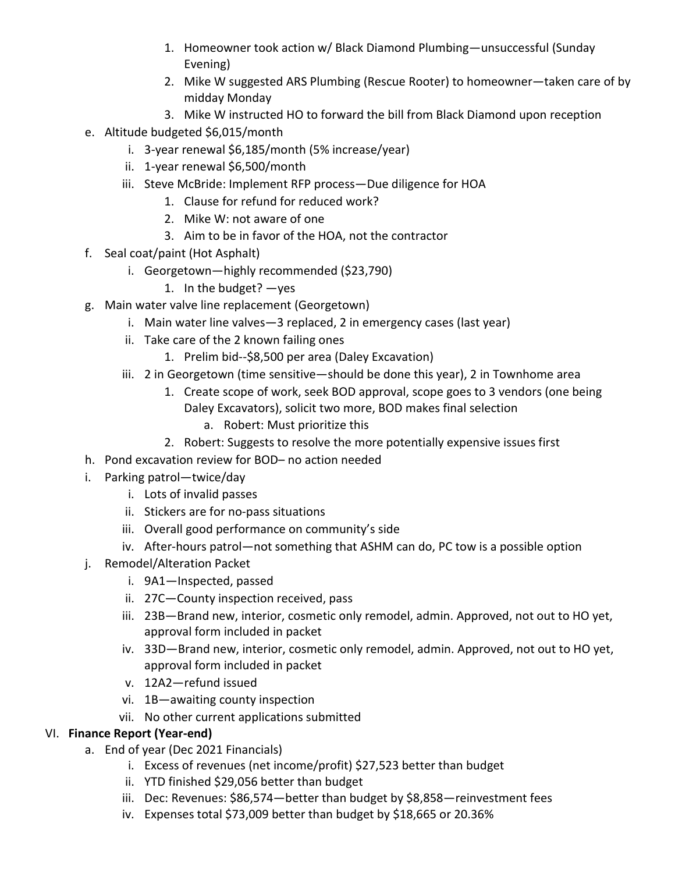- 1. Homeowner took action w/ Black Diamond Plumbing—unsuccessful (Sunday Evening)
- 2. Mike W suggested ARS Plumbing (Rescue Rooter) to homeowner—taken care of by midday Monday
- 3. Mike W instructed HO to forward the bill from Black Diamond upon reception
- e. Altitude budgeted \$6,015/month
	- i. 3-year renewal \$6,185/month (5% increase/year)
	- ii. 1-year renewal \$6,500/month
	- iii. Steve McBride: Implement RFP process—Due diligence for HOA
		- 1. Clause for refund for reduced work?
		- 2. Mike W: not aware of one
		- 3. Aim to be in favor of the HOA, not the contractor
- f. Seal coat/paint (Hot Asphalt)
	- i. Georgetown—highly recommended (\$23,790)
		- 1. In the budget? —yes
- g. Main water valve line replacement (Georgetown)
	- i. Main water line valves—3 replaced, 2 in emergency cases (last year)
	- ii. Take care of the 2 known failing ones
		- 1. Prelim bid--\$8,500 per area (Daley Excavation)
	- iii. 2 in Georgetown (time sensitive—should be done this year), 2 in Townhome area
		- 1. Create scope of work, seek BOD approval, scope goes to 3 vendors (one being Daley Excavators), solicit two more, BOD makes final selection
			- a. Robert: Must prioritize this
		- 2. Robert: Suggests to resolve the more potentially expensive issues first
- h. Pond excavation review for BOD– no action needed
- i. Parking patrol—twice/day
	- i. Lots of invalid passes
	- ii. Stickers are for no-pass situations
	- iii. Overall good performance on community's side
	- iv. After-hours patrol—not something that ASHM can do, PC tow is a possible option
- j. Remodel/Alteration Packet
	- i. 9A1—Inspected, passed
	- ii. 27C—County inspection received, pass
	- iii. 23B—Brand new, interior, cosmetic only remodel, admin. Approved, not out to HO yet, approval form included in packet
	- iv. 33D—Brand new, interior, cosmetic only remodel, admin. Approved, not out to HO yet, approval form included in packet
	- v. 12A2—refund issued
	- vi. 1B—awaiting county inspection
	- vii. No other current applications submitted

## VI. **Finance Report (Year-end)**

- a. End of year (Dec 2021 Financials)
	- i. Excess of revenues (net income/profit) \$27,523 better than budget
	- ii. YTD finished \$29,056 better than budget
	- iii. Dec: Revenues: \$86,574—better than budget by \$8,858—reinvestment fees
	- iv. Expenses total \$73,009 better than budget by \$18,665 or 20.36%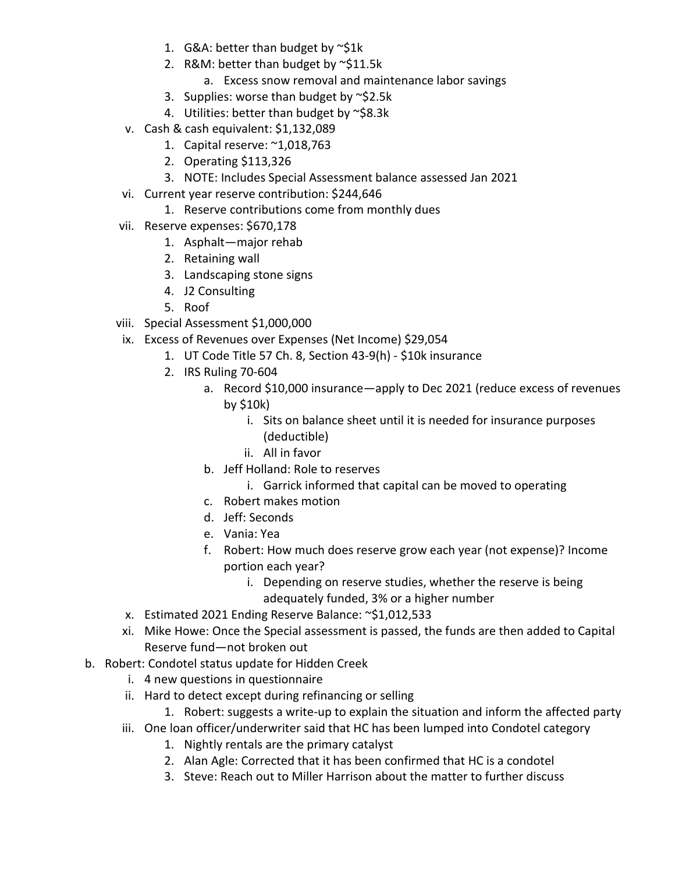- 1. G&A: better than budget by  $\sim$ \$1k
- 2. R&M: better than budget by ~\$11.5k
	- a. Excess snow removal and maintenance labor savings
- 3. Supplies: worse than budget by ~\$2.5k
- 4. Utilities: better than budget by ~\$8.3k
- v. Cash & cash equivalent: \$1,132,089
	- 1. Capital reserve: ~1,018,763
	- 2. Operating \$113,326
	- 3. NOTE: Includes Special Assessment balance assessed Jan 2021
- vi. Current year reserve contribution: \$244,646
	- 1. Reserve contributions come from monthly dues
- vii. Reserve expenses: \$670,178
	- 1. Asphalt—major rehab
	- 2. Retaining wall
	- 3. Landscaping stone signs
	- 4. J2 Consulting
	- 5. Roof
- viii. Special Assessment \$1,000,000
- ix. Excess of Revenues over Expenses (Net Income) \$29,054
	- 1. UT Code Title 57 Ch. 8, Section 43-9(h) \$10k insurance
	- 2. IRS Ruling 70-604
		- a. Record \$10,000 insurance—apply to Dec 2021 (reduce excess of revenues by \$10k)
			- i. Sits on balance sheet until it is needed for insurance purposes (deductible)
			- ii. All in favor
		- b. Jeff Holland: Role to reserves
			- i. Garrick informed that capital can be moved to operating
		- c. Robert makes motion
		- d. Jeff: Seconds
		- e. Vania: Yea
		- f. Robert: How much does reserve grow each year (not expense)? Income portion each year?
			- i. Depending on reserve studies, whether the reserve is being adequately funded, 3% or a higher number
- x. Estimated 2021 Ending Reserve Balance: ~\$1,012,533
- xi. Mike Howe: Once the Special assessment is passed, the funds are then added to Capital Reserve fund—not broken out
- b. Robert: Condotel status update for Hidden Creek
	- i. 4 new questions in questionnaire
	- ii. Hard to detect except during refinancing or selling
		- 1. Robert: suggests a write-up to explain the situation and inform the affected party
	- iii. One loan officer/underwriter said that HC has been lumped into Condotel category
		- 1. Nightly rentals are the primary catalyst
		- 2. Alan Agle: Corrected that it has been confirmed that HC is a condotel
		- 3. Steve: Reach out to Miller Harrison about the matter to further discuss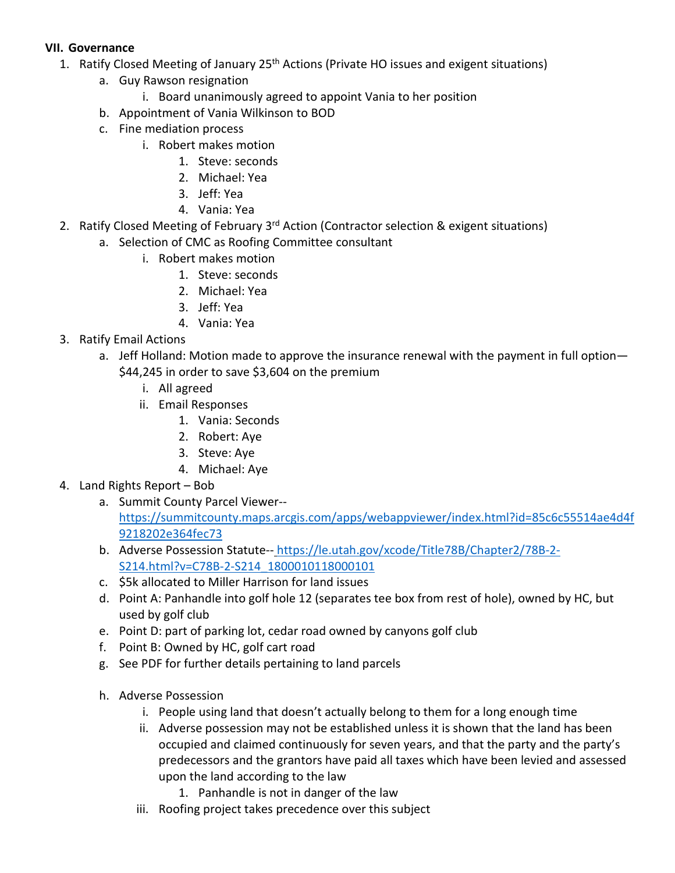#### **VII. Governance**

- 1. Ratify Closed Meeting of January 25<sup>th</sup> Actions (Private HO issues and exigent situations)
	- a. Guy Rawson resignation
		- i. Board unanimously agreed to appoint Vania to her position
	- b. Appointment of Vania Wilkinson to BOD
	- c. Fine mediation process
		- i. Robert makes motion
			- 1. Steve: seconds
			- 2. Michael: Yea
			- 3. Jeff: Yea
			- 4. Vania: Yea
- 2. Ratify Closed Meeting of February 3<sup>rd</sup> Action (Contractor selection & exigent situations)
	- a. Selection of CMC as Roofing Committee consultant
		- i. Robert makes motion
			- 1. Steve: seconds
			- 2. Michael: Yea
			- 3. Jeff: Yea
			- 4. Vania: Yea
- 3. Ratify Email Actions
	- a. Jeff Holland: Motion made to approve the insurance renewal with the payment in full option— \$44,245 in order to save \$3,604 on the premium
		- i. All agreed
		- ii. Email Responses
			- 1. Vania: Seconds
			- 2. Robert: Aye
			- 3. Steve: Aye
			- 4. Michael: Aye
- 4. Land Rights Report Bob
	- a. Summit County Parcel Viewer- [https://summitcounty.maps.arcgis.com/apps/webappviewer/index.html?id=85c6c55514ae4d4f](https://summitcounty.maps.arcgis.com/apps/webappviewer/index.html?id=85c6c55514ae4d4f9218202e364fec73) [9218202e364fec73](https://summitcounty.maps.arcgis.com/apps/webappviewer/index.html?id=85c6c55514ae4d4f9218202e364fec73)
	- b. Adverse Possession Statute-- [https://le.utah.gov/xcode/Title78B/Chapter2/78B-2-](https://le.utah.gov/xcode/Title78B/Chapter2/78B-2-S214.html?v=C78B-2-S214_1800010118000101) [S214.html?v=C78B-2-S214\\_1800010118000101](https://le.utah.gov/xcode/Title78B/Chapter2/78B-2-S214.html?v=C78B-2-S214_1800010118000101)
	- c. \$5k allocated to Miller Harrison for land issues
	- d. Point A: Panhandle into golf hole 12 (separates tee box from rest of hole), owned by HC, but used by golf club
	- e. Point D: part of parking lot, cedar road owned by canyons golf club
	- f. Point B: Owned by HC, golf cart road
	- g. See PDF for further details pertaining to land parcels
	- h. Adverse Possession
		- i. People using land that doesn't actually belong to them for a long enough time
		- ii. Adverse possession may not be established unless it is shown that the land has been occupied and claimed continuously for seven years, and that the party and the party's predecessors and the grantors have paid all taxes which have been levied and assessed upon the land according to the law
			- 1. Panhandle is not in danger of the law
		- iii. Roofing project takes precedence over this subject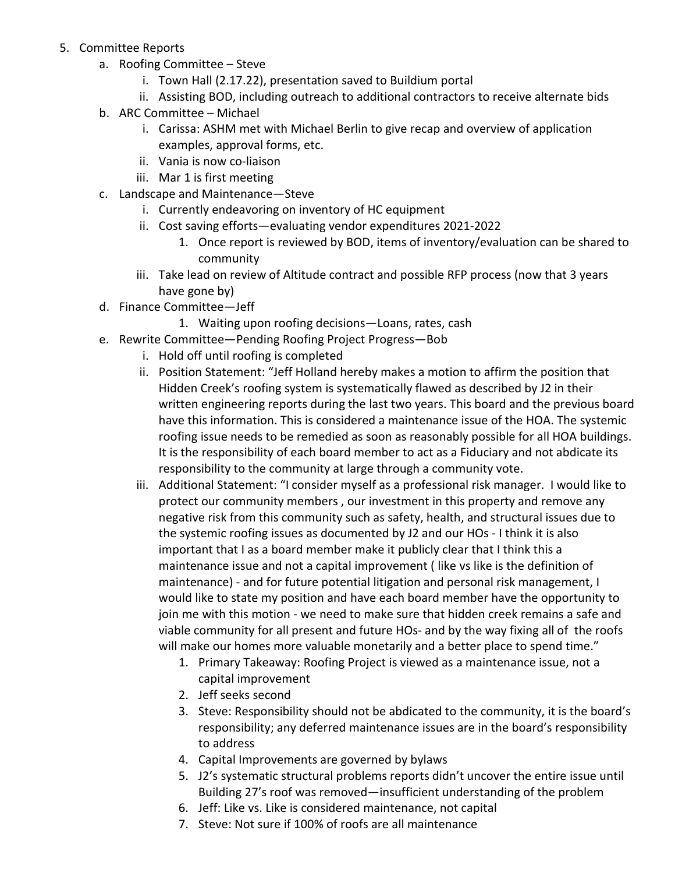- 5. Committee Reports
	- a. Roofing Committee Steve
		- i. Town Hall (2.17.22), presentation saved to Buildium portal
		- ii. Assisting BOD, including outreach to additional contractors to receive alternate bids
	- b. ARC Committee Michael
		- i. Carissa: ASHM met with Michael Berlin to give recap and overview of application examples, approval forms, etc.
		- ii. Vania is now co-liaison
		- iii. Mar 1 is first meeting
	- c. Landscape and Maintenance—Steve
		- i. Currently endeavoring on inventory of HC equipment
		- ii. Cost saving efforts—evaluating vendor expenditures 2021-2022
			- 1. Once report is reviewed by BOD, items of inventory/evaluation can be shared to community
		- iii. Take lead on review of Altitude contract and possible RFP process (now that 3 years have gone by)
	- d. Finance Committee—Jeff
		- 1. Waiting upon roofing decisions—Loans, rates, cash
	- e. Rewrite Committee—Pending Roofing Project Progress—Bob
		- i. Hold off until roofing is completed
		- ii. Position Statement: "Jeff Holland hereby makes a motion to affirm the position that Hidden Creek's roofing system is systematically flawed as described by J2 in their written engineering reports during the last two years. This board and the previous board have this information. This is considered a maintenance issue of the HOA. The systemic roofing issue needs to be remedied as soon as reasonably possible for all HOA buildings. It is the responsibility of each board member to act as a Fiduciary and not abdicate its responsibility to the community at large through a community vote.
		- iii. Additional Statement: "I consider myself as a professional risk manager. I would like to protect our community members , our investment in this property and remove any negative risk from this community such as safety, health, and structural issues due to the systemic roofing issues as documented by J2 and our HOs - I think it is also important that I as a board member make it publicly clear that I think this a maintenance issue and not a capital improvement ( like vs like is the definition of maintenance) - and for future potential litigation and personal risk management, I would like to state my position and have each board member have the opportunity to join me with this motion - we need to make sure that hidden creek remains a safe and viable community for all present and future HOs- and by the way fixing all of the roofs will make our homes more valuable monetarily and a better place to spend time."
			- 1. Primary Takeaway: Roofing Project is viewed as a maintenance issue, not a capital improvement
			- 2. Jeff seeks second
			- 3. Steve: Responsibility should not be abdicated to the community, it is the board's responsibility; any deferred maintenance issues are in the board's responsibility to address
			- 4. Capital Improvements are governed by bylaws
			- 5. J2's systematic structural problems reports didn't uncover the entire issue until Building 27's roof was removed—insufficient understanding of the problem
			- 6. Jeff: Like vs. Like is considered maintenance, not capital
			- 7. Steve: Not sure if 100% of roofs are all maintenance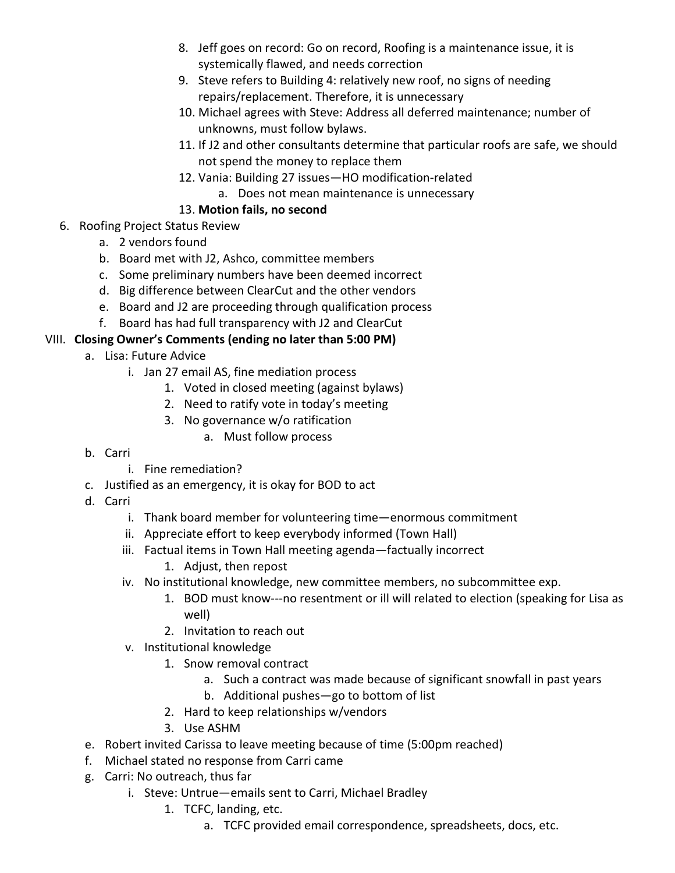- 8. Jeff goes on record: Go on record, Roofing is a maintenance issue, it is systemically flawed, and needs correction
- 9. Steve refers to Building 4: relatively new roof, no signs of needing repairs/replacement. Therefore, it is unnecessary
- 10. Michael agrees with Steve: Address all deferred maintenance; number of unknowns, must follow bylaws.
- 11. If J2 and other consultants determine that particular roofs are safe, we should not spend the money to replace them
- 12. Vania: Building 27 issues—HO modification-related
	- a. Does not mean maintenance is unnecessary

## 13. **Motion fails, no second**

- 6. Roofing Project Status Review
	- a. 2 vendors found
	- b. Board met with J2, Ashco, committee members
	- c. Some preliminary numbers have been deemed incorrect
	- d. Big difference between ClearCut and the other vendors
	- e. Board and J2 are proceeding through qualification process
	- f. Board has had full transparency with J2 and ClearCut

## VIII. **Closing Owner's Comments (ending no later than 5:00 PM)**

- a. Lisa: Future Advice
	- i. Jan 27 email AS, fine mediation process
		- 1. Voted in closed meeting (against bylaws)
		- 2. Need to ratify vote in today's meeting
		- 3. No governance w/o ratification
			- a. Must follow process
- b. Carri
	- i. Fine remediation?
- c. Justified as an emergency, it is okay for BOD to act
- d. Carri
	- i. Thank board member for volunteering time—enormous commitment
	- ii. Appreciate effort to keep everybody informed (Town Hall)
	- iii. Factual items in Town Hall meeting agenda—factually incorrect
		- 1. Adjust, then repost
	- iv. No institutional knowledge, new committee members, no subcommittee exp.
		- 1. BOD must know---no resentment or ill will related to election (speaking for Lisa as well)
		- 2. Invitation to reach out
	- v. Institutional knowledge
		- 1. Snow removal contract
			- a. Such a contract was made because of significant snowfall in past years
			- b. Additional pushes—go to bottom of list
		- 2. Hard to keep relationships w/vendors
		- 3. Use ASHM
- e. Robert invited Carissa to leave meeting because of time (5:00pm reached)
- f. Michael stated no response from Carri came
- g. Carri: No outreach, thus far
	- i. Steve: Untrue—emails sent to Carri, Michael Bradley
		- 1. TCFC, landing, etc.
			- a. TCFC provided email correspondence, spreadsheets, docs, etc.